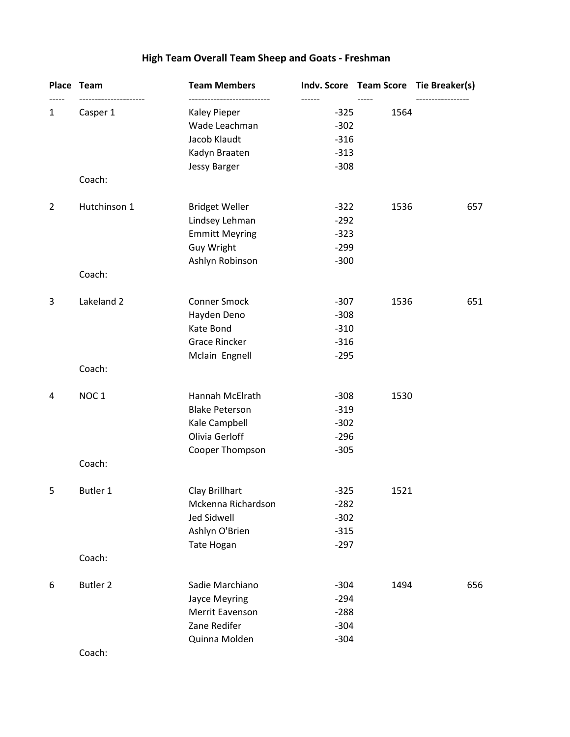# **High Team Overall Team Sheep and Goats - Freshman**

|                | Place Team                  | <b>Team Members</b>   |                  |               | Indv. Score Team Score Tie Breaker(s) |
|----------------|-----------------------------|-----------------------|------------------|---------------|---------------------------------------|
| $\mathbf{1}$   | ---------------<br>Casper 1 | <b>Kaley Pieper</b>   | ------<br>$-325$ | -----<br>1564 |                                       |
|                |                             | Wade Leachman         | $-302$           |               |                                       |
|                |                             | Jacob Klaudt          | $-316$           |               |                                       |
|                |                             | Kadyn Braaten         | $-313$           |               |                                       |
|                |                             | <b>Jessy Barger</b>   | $-308$           |               |                                       |
|                | Coach:                      |                       |                  |               |                                       |
| $\overline{2}$ | Hutchinson 1                | <b>Bridget Weller</b> | $-322$           | 1536          | 657                                   |
|                |                             | Lindsey Lehman        | $-292$           |               |                                       |
|                |                             | <b>Emmitt Meyring</b> | $-323$           |               |                                       |
|                |                             | Guy Wright            | $-299$           |               |                                       |
|                | Coach:                      | Ashlyn Robinson       | $-300$           |               |                                       |
|                |                             |                       |                  |               |                                       |
| 3              | Lakeland 2                  | <b>Conner Smock</b>   | $-307$           | 1536          | 651                                   |
|                |                             | Hayden Deno           | $-308$           |               |                                       |
|                |                             | Kate Bond             | $-310$           |               |                                       |
|                |                             | <b>Grace Rincker</b>  | $-316$           |               |                                       |
|                |                             | Mclain Engnell        | $-295$           |               |                                       |
|                | Coach:                      |                       |                  |               |                                       |
| 4              | NOC <sub>1</sub>            | Hannah McElrath       | $-308$           | 1530          |                                       |
|                |                             | <b>Blake Peterson</b> | $-319$           |               |                                       |
|                |                             | Kale Campbell         | $-302$           |               |                                       |
|                |                             | Olivia Gerloff        | $-296$           |               |                                       |
|                |                             | Cooper Thompson       | $-305$           |               |                                       |
|                | Coach:                      |                       |                  |               |                                       |
| 5              | Butler 1                    | Clay Brillhart        | $-325$           | 1521          |                                       |
|                |                             | Mckenna Richardson    | $-282$           |               |                                       |
|                |                             | <b>Jed Sidwell</b>    | $-302$           |               |                                       |
|                |                             | Ashlyn O'Brien        | $-315$           |               |                                       |
|                |                             | Tate Hogan            | $-297$           |               |                                       |
|                | Coach:                      |                       |                  |               |                                       |
| 6              | Butler <sub>2</sub>         | Sadie Marchiano       | $-304$           | 1494          | 656                                   |
|                |                             | Jayce Meyring         | $-294$           |               |                                       |
|                |                             | Merrit Eavenson       | $-288$           |               |                                       |
|                |                             | Zane Redifer          | $-304$           |               |                                       |
|                |                             | Quinna Molden         | $-304$           |               |                                       |
|                | Coach:                      |                       |                  |               |                                       |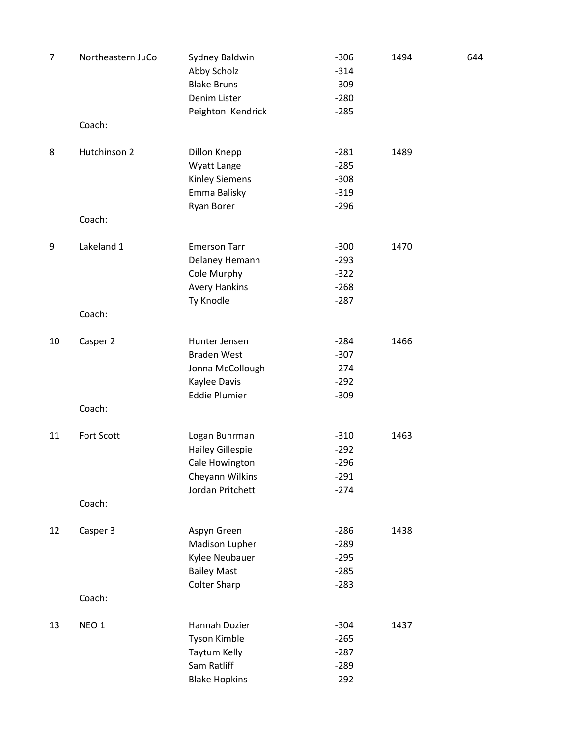| $\overline{7}$ | Northeastern JuCo | Sydney Baldwin<br>Abby Scholz<br><b>Blake Bruns</b><br>Denim Lister<br>Peighton Kendrick          | $-306$<br>$-314$<br>$-309$<br>$-280$<br>$-285$ | 1494 | 644 |
|----------------|-------------------|---------------------------------------------------------------------------------------------------|------------------------------------------------|------|-----|
|                | Coach:            |                                                                                                   |                                                |      |     |
| 8              | Hutchinson 2      | Dillon Knepp<br>Wyatt Lange<br><b>Kinley Siemens</b><br>Emma Balisky<br>Ryan Borer                | $-281$<br>$-285$<br>$-308$<br>$-319$<br>$-296$ | 1489 |     |
|                | Coach:            |                                                                                                   |                                                |      |     |
| 9              | Lakeland 1        | <b>Emerson Tarr</b><br>Delaney Hemann<br>Cole Murphy<br><b>Avery Hankins</b><br>Ty Knodle         | $-300$<br>$-293$<br>$-322$<br>$-268$<br>$-287$ | 1470 |     |
|                | Coach:            |                                                                                                   |                                                |      |     |
| 10             | Casper 2          | Hunter Jensen<br><b>Braden West</b><br>Jonna McCollough<br>Kaylee Davis<br><b>Eddie Plumier</b>   | $-284$<br>$-307$<br>$-274$<br>$-292$<br>$-309$ | 1466 |     |
|                | Coach:            |                                                                                                   |                                                |      |     |
| 11             | Fort Scott        | Logan Buhrman<br><b>Hailey Gillespie</b><br>Cale Howington<br>Cheyann Wilkins<br>Jordan Pritchett | $-310$<br>$-292$<br>$-296$<br>$-291$<br>$-274$ | 1463 |     |
|                | Coach:            |                                                                                                   |                                                |      |     |
| 12             | Casper 3          | Aspyn Green<br>Madison Lupher<br>Kylee Neubauer<br><b>Bailey Mast</b><br><b>Colter Sharp</b>      | $-286$<br>$-289$<br>$-295$<br>$-285$<br>$-283$ | 1438 |     |
|                | Coach:            |                                                                                                   |                                                |      |     |
| 13             | NEO 1             | Hannah Dozier<br>Tyson Kimble<br>Taytum Kelly<br>Sam Ratliff<br><b>Blake Hopkins</b>              | $-304$<br>$-265$<br>$-287$<br>$-289$<br>$-292$ | 1437 |     |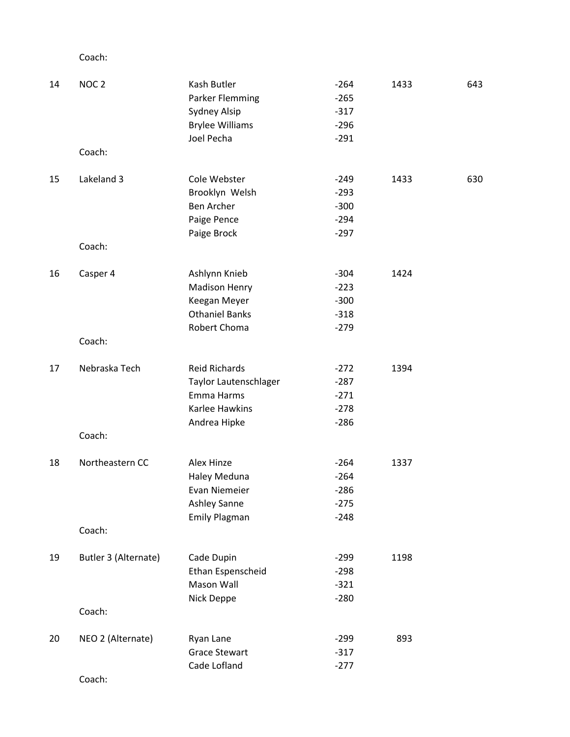| 14 | NOC <sub>2</sub>     | Kash Butler            | $-264$ | 1433 | 643 |
|----|----------------------|------------------------|--------|------|-----|
|    |                      | <b>Parker Flemming</b> | $-265$ |      |     |
|    |                      | Sydney Alsip           | $-317$ |      |     |
|    |                      | <b>Brylee Williams</b> | $-296$ |      |     |
|    |                      | Joel Pecha             | $-291$ |      |     |
|    | Coach:               |                        |        |      |     |
| 15 | Lakeland 3           | Cole Webster           | $-249$ | 1433 | 630 |
|    |                      | Brooklyn Welsh         | $-293$ |      |     |
|    |                      | Ben Archer             | $-300$ |      |     |
|    |                      | Paige Pence            | $-294$ |      |     |
|    |                      | Paige Brock            | $-297$ |      |     |
|    | Coach:               |                        |        |      |     |
| 16 | Casper 4             | Ashlynn Knieb          | $-304$ | 1424 |     |
|    |                      | <b>Madison Henry</b>   | $-223$ |      |     |
|    |                      | Keegan Meyer           | $-300$ |      |     |
|    |                      | <b>Othaniel Banks</b>  | $-318$ |      |     |
|    |                      | Robert Choma           | $-279$ |      |     |
|    | Coach:               |                        |        |      |     |
| 17 | Nebraska Tech        | <b>Reid Richards</b>   | $-272$ | 1394 |     |
|    |                      | Taylor Lautenschlager  | $-287$ |      |     |
|    |                      | Emma Harms             | $-271$ |      |     |
|    |                      | Karlee Hawkins         | $-278$ |      |     |
|    |                      | Andrea Hipke           | $-286$ |      |     |
|    | Coach:               |                        |        |      |     |
| 18 | Northeastern CC      | Alex Hinze             | $-264$ | 1337 |     |
|    |                      | Haley Meduna           | $-264$ |      |     |
|    |                      | Evan Niemeier          | $-286$ |      |     |
|    |                      | Ashley Sanne           | $-275$ |      |     |
|    |                      | <b>Emily Plagman</b>   | $-248$ |      |     |
|    | Coach:               |                        |        |      |     |
| 19 | Butler 3 (Alternate) | Cade Dupin             | $-299$ | 1198 |     |
|    |                      | Ethan Espenscheid      | $-298$ |      |     |
|    |                      | Mason Wall             | $-321$ |      |     |
|    |                      | Nick Deppe             | $-280$ |      |     |
|    | Coach:               |                        |        |      |     |
| 20 | NEO 2 (Alternate)    | Ryan Lane              | $-299$ | 893  |     |
|    |                      | <b>Grace Stewart</b>   | $-317$ |      |     |
|    |                      | Cade Lofland           | $-277$ |      |     |
|    |                      |                        |        |      |     |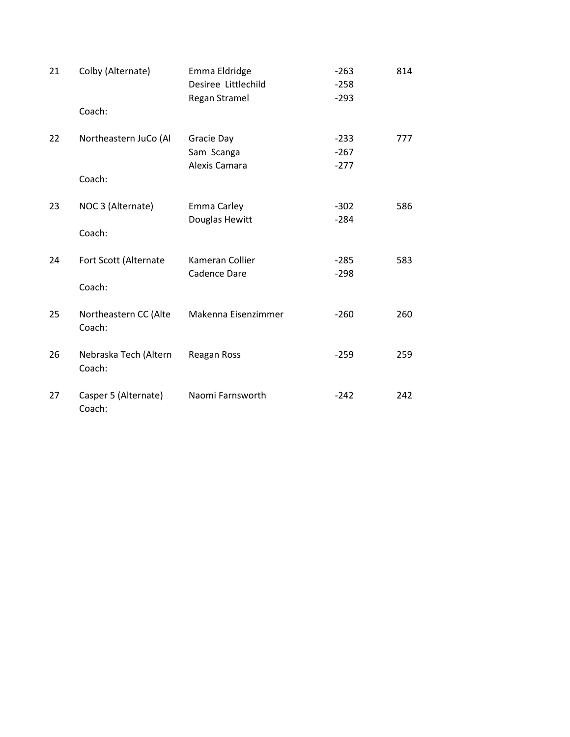| 21 | Colby (Alternate)               | Emma Eldridge<br>Desiree Littlechild      | $-263$<br>$-258$           | 814 |
|----|---------------------------------|-------------------------------------------|----------------------------|-----|
|    | Coach:                          | Regan Stramel                             | $-293$                     |     |
| 22 | Northeastern JuCo (Al<br>Coach: | Gracie Day<br>Sam Scanga<br>Alexis Camara | $-233$<br>$-267$<br>$-277$ | 777 |
| 23 | NOC 3 (Alternate)<br>Coach:     | Emma Carley<br>Douglas Hewitt             | $-302$<br>$-284$           | 586 |
| 24 | Fort Scott (Alternate<br>Coach: | Kameran Collier<br><b>Cadence Dare</b>    | $-285$<br>$-298$           | 583 |
| 25 | Northeastern CC (Alte<br>Coach: | Makenna Eisenzimmer                       | $-260$                     | 260 |
| 26 | Nebraska Tech (Altern<br>Coach: | Reagan Ross                               | $-259$                     | 259 |
| 27 | Casper 5 (Alternate)<br>Coach:  | Naomi Farnsworth                          | $-242$                     | 242 |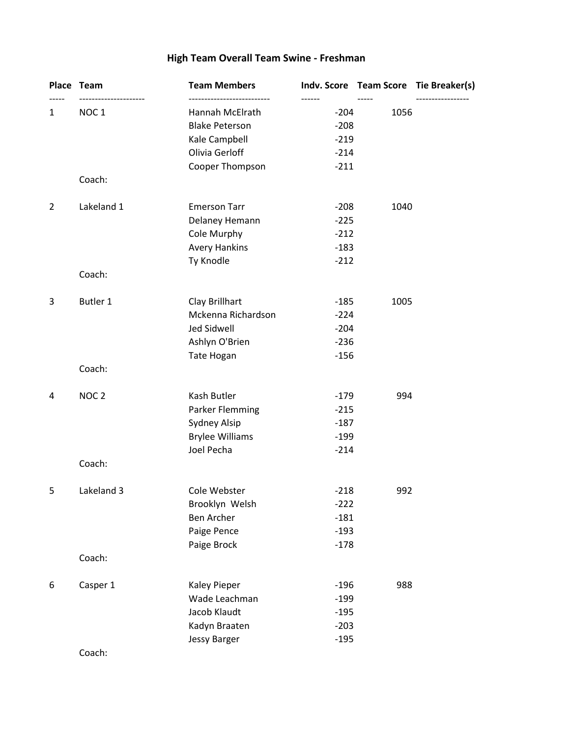# **High Team Overall Team Swine - Freshman**

|                | Place Team       | <b>Team Members</b>    |        |      | Indv. Score Team Score Tie Breaker(s) |
|----------------|------------------|------------------------|--------|------|---------------------------------------|
| 1              | NOC <sub>1</sub> | Hannah McElrath        | $-204$ | 1056 |                                       |
|                |                  | <b>Blake Peterson</b>  | $-208$ |      |                                       |
|                |                  | Kale Campbell          | $-219$ |      |                                       |
|                |                  | Olivia Gerloff         | $-214$ |      |                                       |
|                |                  | Cooper Thompson        | $-211$ |      |                                       |
|                | Coach:           |                        |        |      |                                       |
| $\overline{2}$ | Lakeland 1       | <b>Emerson Tarr</b>    | $-208$ | 1040 |                                       |
|                |                  | Delaney Hemann         | $-225$ |      |                                       |
|                |                  | Cole Murphy            | $-212$ |      |                                       |
|                |                  | <b>Avery Hankins</b>   | $-183$ |      |                                       |
|                |                  | Ty Knodle              | $-212$ |      |                                       |
|                | Coach:           |                        |        |      |                                       |
| 3              | Butler 1         | Clay Brillhart         | $-185$ | 1005 |                                       |
|                |                  | Mckenna Richardson     | $-224$ |      |                                       |
|                |                  | <b>Jed Sidwell</b>     | $-204$ |      |                                       |
|                |                  | Ashlyn O'Brien         | $-236$ |      |                                       |
|                |                  | Tate Hogan             | $-156$ |      |                                       |
|                | Coach:           |                        |        |      |                                       |
| 4              | NOC <sub>2</sub> | Kash Butler            | $-179$ | 994  |                                       |
|                |                  | <b>Parker Flemming</b> | $-215$ |      |                                       |
|                |                  | Sydney Alsip           | $-187$ |      |                                       |
|                |                  | <b>Brylee Williams</b> | $-199$ |      |                                       |
|                |                  | Joel Pecha             | $-214$ |      |                                       |
|                | Coach:           |                        |        |      |                                       |
| 5              | Lakeland 3       | Cole Webster           | $-218$ | 992  |                                       |
|                |                  | Brooklyn Welsh         | $-222$ |      |                                       |
|                |                  | <b>Ben Archer</b>      | $-181$ |      |                                       |
|                |                  | Paige Pence            | $-193$ |      |                                       |
|                |                  | Paige Brock            | $-178$ |      |                                       |
|                | Coach:           |                        |        |      |                                       |
| 6              | Casper 1         | Kaley Pieper           | $-196$ | 988  |                                       |
|                |                  | Wade Leachman          | $-199$ |      |                                       |
|                |                  | Jacob Klaudt           | $-195$ |      |                                       |
|                |                  | Kadyn Braaten          | $-203$ |      |                                       |
|                |                  | <b>Jessy Barger</b>    | $-195$ |      |                                       |
|                |                  |                        |        |      |                                       |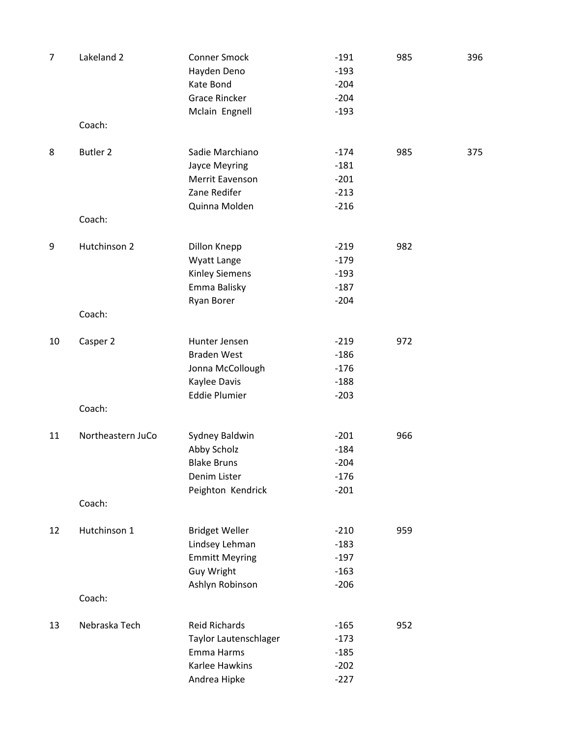| $\overline{7}$ | Lakeland 2        | <b>Conner Smock</b><br>Hayden Deno<br>Kate Bond<br><b>Grace Rincker</b>                           | $-191$<br>$-193$<br>$-204$<br>$-204$           | 985 | 396 |
|----------------|-------------------|---------------------------------------------------------------------------------------------------|------------------------------------------------|-----|-----|
|                | Coach:            | Mclain Engnell                                                                                    | $-193$                                         |     |     |
| 8              | <b>Butler 2</b>   | Sadie Marchiano<br>Jayce Meyring<br>Merrit Eavenson<br>Zane Redifer<br>Quinna Molden              | $-174$<br>$-181$<br>$-201$<br>$-213$<br>$-216$ | 985 | 375 |
|                | Coach:            |                                                                                                   |                                                |     |     |
| 9              | Hutchinson 2      | Dillon Knepp<br>Wyatt Lange<br><b>Kinley Siemens</b><br>Emma Balisky<br><b>Ryan Borer</b>         | $-219$<br>$-179$<br>$-193$<br>$-187$<br>$-204$ | 982 |     |
|                | Coach:            |                                                                                                   |                                                |     |     |
| 10             | Casper 2          | Hunter Jensen<br><b>Braden West</b><br>Jonna McCollough<br>Kaylee Davis<br><b>Eddie Plumier</b>   | $-219$<br>$-186$<br>$-176$<br>$-188$           | 972 |     |
|                | Coach:            |                                                                                                   | $-203$                                         |     |     |
| 11             | Northeastern JuCo | Sydney Baldwin<br>Abby Scholz<br><b>Blake Bruns</b><br>Denim Lister<br>Peighton Kendrick          | $-201$<br>$-184$<br>$-204$<br>$-176$<br>$-201$ | 966 |     |
|                | Coach:            |                                                                                                   |                                                |     |     |
| 12             | Hutchinson 1      | <b>Bridget Weller</b><br>Lindsey Lehman<br><b>Emmitt Meyring</b><br>Guy Wright<br>Ashlyn Robinson | $-210$<br>$-183$<br>$-197$<br>$-163$<br>$-206$ | 959 |     |
|                | Coach:            |                                                                                                   |                                                |     |     |
| 13             | Nebraska Tech     | <b>Reid Richards</b><br>Taylor Lautenschlager<br>Emma Harms<br>Karlee Hawkins<br>Andrea Hipke     | $-165$<br>$-173$<br>$-185$<br>$-202$<br>$-227$ | 952 |     |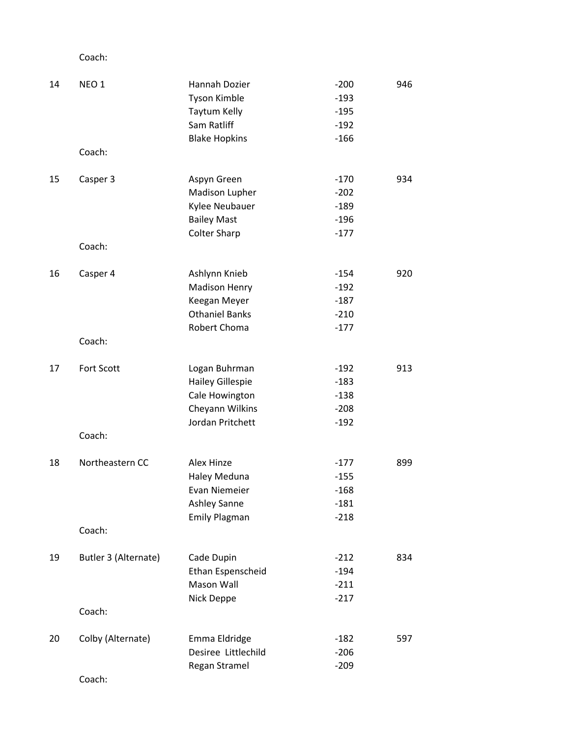| 14 | NEO <sub>1</sub>     | Hannah Dozier           | $-200$ | 946 |
|----|----------------------|-------------------------|--------|-----|
|    |                      | <b>Tyson Kimble</b>     | $-193$ |     |
|    |                      | Taytum Kelly            | $-195$ |     |
|    |                      | Sam Ratliff             | $-192$ |     |
|    |                      | <b>Blake Hopkins</b>    | $-166$ |     |
|    | Coach:               |                         |        |     |
| 15 | Casper 3             | Aspyn Green             | $-170$ | 934 |
|    |                      | Madison Lupher          | $-202$ |     |
|    |                      | Kylee Neubauer          | $-189$ |     |
|    |                      | <b>Bailey Mast</b>      | $-196$ |     |
|    |                      | <b>Colter Sharp</b>     | $-177$ |     |
|    | Coach:               |                         |        |     |
| 16 | Casper 4             | Ashlynn Knieb           | $-154$ | 920 |
|    |                      | <b>Madison Henry</b>    | $-192$ |     |
|    |                      | Keegan Meyer            | $-187$ |     |
|    |                      | <b>Othaniel Banks</b>   | $-210$ |     |
|    |                      | Robert Choma            | $-177$ |     |
|    | Coach:               |                         |        |     |
| 17 | Fort Scott           | Logan Buhrman           | $-192$ | 913 |
|    |                      | <b>Hailey Gillespie</b> | $-183$ |     |
|    |                      | Cale Howington          | $-138$ |     |
|    |                      | Cheyann Wilkins         | $-208$ |     |
|    |                      | Jordan Pritchett        | $-192$ |     |
|    | Coach:               |                         |        |     |
| 18 | Northeastern CC      | Alex Hinze              | $-177$ | 899 |
|    |                      | Haley Meduna            | $-155$ |     |
|    |                      | <b>Evan Niemeier</b>    | $-168$ |     |
|    |                      | <b>Ashley Sanne</b>     | $-181$ |     |
|    |                      | <b>Emily Plagman</b>    | $-218$ |     |
|    | Coach:               |                         |        |     |
| 19 | Butler 3 (Alternate) | Cade Dupin              | $-212$ | 834 |
|    |                      | Ethan Espenscheid       | $-194$ |     |
|    |                      | Mason Wall              | $-211$ |     |
|    |                      | Nick Deppe              | $-217$ |     |
|    | Coach:               |                         |        |     |
| 20 | Colby (Alternate)    | Emma Eldridge           | $-182$ | 597 |
|    |                      | Desiree Littlechild     | $-206$ |     |
|    |                      | Regan Stramel           | $-209$ |     |
|    | Coach:               |                         |        |     |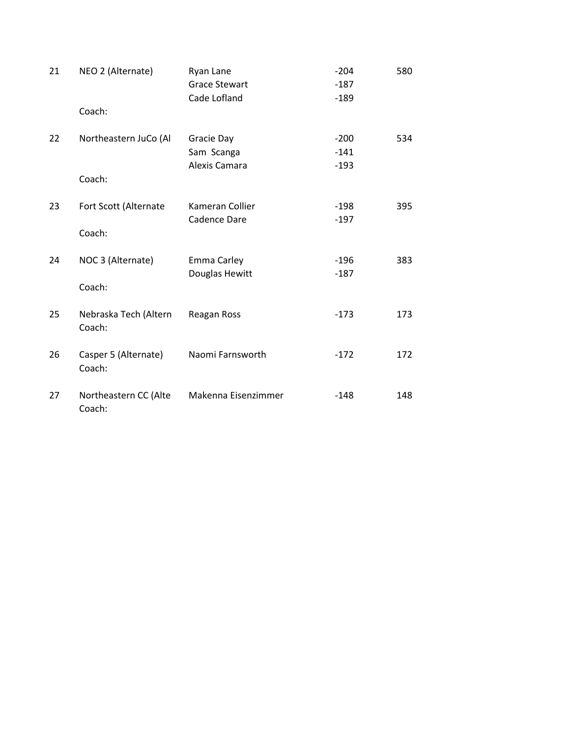| 21 | NEO 2 (Alternate)               | Ryan Lane            | $-204$ | 580 |
|----|---------------------------------|----------------------|--------|-----|
|    |                                 | <b>Grace Stewart</b> | $-187$ |     |
|    |                                 | Cade Lofland         | $-189$ |     |
|    | Coach:                          |                      |        |     |
| 22 | Northeastern JuCo (Al           | Gracie Day           | $-200$ | 534 |
|    |                                 | Sam Scanga           | $-141$ |     |
|    |                                 | Alexis Camara        | $-193$ |     |
|    | Coach:                          |                      |        |     |
| 23 | Fort Scott (Alternate           | Kameran Collier      | $-198$ | 395 |
|    |                                 | Cadence Dare         | $-197$ |     |
|    | Coach:                          |                      |        |     |
| 24 | NOC 3 (Alternate)               | Emma Carley          | $-196$ | 383 |
|    |                                 | Douglas Hewitt       | $-187$ |     |
|    | Coach:                          |                      |        |     |
| 25 | Nebraska Tech (Altern           | Reagan Ross          | $-173$ | 173 |
|    | Coach:                          |                      |        |     |
| 26 | Casper 5 (Alternate)            | Naomi Farnsworth     | $-172$ | 172 |
|    | Coach:                          |                      |        |     |
|    |                                 |                      |        |     |
| 27 | Northeastern CC (Alte<br>Coach: | Makenna Eisenzimmer  | $-148$ | 148 |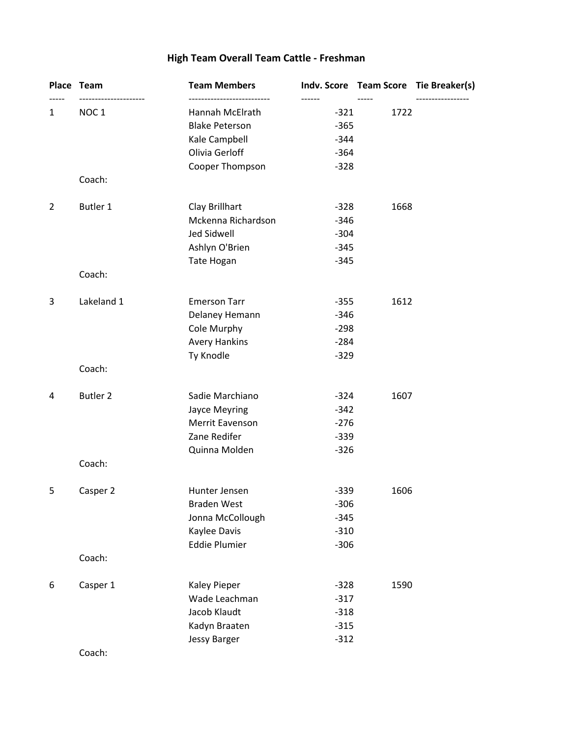# **High Team Overall Team Cattle - Freshman**

|                | Place Team       | <b>Team Members</b>   |        |      | Indv. Score Team Score Tie Breaker(s) |
|----------------|------------------|-----------------------|--------|------|---------------------------------------|
| 1              | NOC <sub>1</sub> | Hannah McElrath       | $-321$ | 1722 |                                       |
|                |                  | <b>Blake Peterson</b> | $-365$ |      |                                       |
|                |                  | Kale Campbell         | $-344$ |      |                                       |
|                |                  | Olivia Gerloff        | $-364$ |      |                                       |
|                |                  | Cooper Thompson       | $-328$ |      |                                       |
|                | Coach:           |                       |        |      |                                       |
| $\overline{2}$ | Butler 1         | Clay Brillhart        | $-328$ | 1668 |                                       |
|                |                  | Mckenna Richardson    | $-346$ |      |                                       |
|                |                  | Jed Sidwell           | $-304$ |      |                                       |
|                |                  | Ashlyn O'Brien        | $-345$ |      |                                       |
|                |                  | Tate Hogan            | $-345$ |      |                                       |
|                | Coach:           |                       |        |      |                                       |
| 3              | Lakeland 1       | <b>Emerson Tarr</b>   | $-355$ | 1612 |                                       |
|                |                  | Delaney Hemann        | $-346$ |      |                                       |
|                |                  | Cole Murphy           | $-298$ |      |                                       |
|                |                  | <b>Avery Hankins</b>  | $-284$ |      |                                       |
|                |                  | Ty Knodle             | $-329$ |      |                                       |
|                | Coach:           |                       |        |      |                                       |
| 4              | <b>Butler 2</b>  | Sadie Marchiano       | $-324$ | 1607 |                                       |
|                |                  | Jayce Meyring         | $-342$ |      |                                       |
|                |                  | Merrit Eavenson       | $-276$ |      |                                       |
|                |                  | Zane Redifer          | $-339$ |      |                                       |
|                |                  | Quinna Molden         | $-326$ |      |                                       |
|                | Coach:           |                       |        |      |                                       |
| 5              | Casper 2         | Hunter Jensen         | $-339$ | 1606 |                                       |
|                |                  | <b>Braden West</b>    | $-306$ |      |                                       |
|                |                  | Jonna McCollough      | $-345$ |      |                                       |
|                |                  | Kaylee Davis          | $-310$ |      |                                       |
|                |                  | <b>Eddie Plumier</b>  | $-306$ |      |                                       |
|                | Coach:           |                       |        |      |                                       |
| 6              | Casper 1         | <b>Kaley Pieper</b>   | $-328$ | 1590 |                                       |
|                |                  | Wade Leachman         | $-317$ |      |                                       |
|                |                  | Jacob Klaudt          | $-318$ |      |                                       |
|                |                  | Kadyn Braaten         | $-315$ |      |                                       |
|                |                  | <b>Jessy Barger</b>   | $-312$ |      |                                       |
|                |                  |                       |        |      |                                       |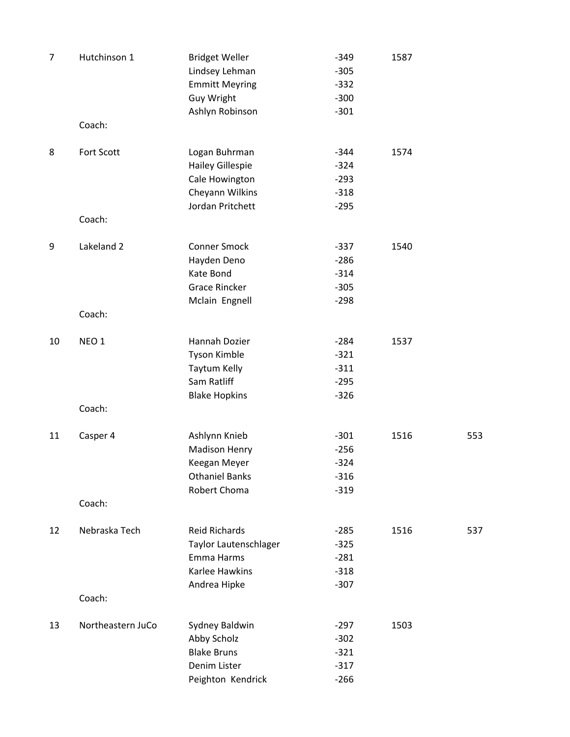| $\overline{7}$ | Hutchinson 1      | <b>Bridget Weller</b><br>Lindsey Lehman<br><b>Emmitt Meyring</b> | $-349$<br>$-305$<br>$-332$ | 1587 |     |
|----------------|-------------------|------------------------------------------------------------------|----------------------------|------|-----|
|                |                   | Guy Wright                                                       | $-300$                     |      |     |
|                |                   | Ashlyn Robinson                                                  | $-301$                     |      |     |
|                | Coach:            |                                                                  |                            |      |     |
| 8              | Fort Scott        | Logan Buhrman                                                    | $-344$                     | 1574 |     |
|                |                   | <b>Hailey Gillespie</b>                                          | $-324$                     |      |     |
|                |                   | Cale Howington                                                   | $-293$                     |      |     |
|                |                   | Cheyann Wilkins                                                  | $-318$                     |      |     |
|                |                   | Jordan Pritchett                                                 | $-295$                     |      |     |
|                | Coach:            |                                                                  |                            |      |     |
| 9              | Lakeland 2        | <b>Conner Smock</b>                                              | $-337$                     | 1540 |     |
|                |                   | Hayden Deno                                                      | $-286$                     |      |     |
|                |                   | Kate Bond                                                        | $-314$                     |      |     |
|                |                   | <b>Grace Rincker</b>                                             | $-305$                     |      |     |
|                |                   | Mclain Engnell                                                   | $-298$                     |      |     |
|                | Coach:            |                                                                  |                            |      |     |
| 10             | NEO <sub>1</sub>  | Hannah Dozier                                                    | $-284$                     | 1537 |     |
|                |                   | Tyson Kimble                                                     | $-321$                     |      |     |
|                |                   | Taytum Kelly                                                     | $-311$                     |      |     |
|                |                   | Sam Ratliff                                                      | $-295$                     |      |     |
|                |                   | <b>Blake Hopkins</b>                                             | $-326$                     |      |     |
|                | Coach:            |                                                                  |                            |      |     |
| 11             | Casper 4          | Ashlynn Knieb                                                    | $-301$                     | 1516 | 553 |
|                |                   | <b>Madison Henry</b>                                             | $-256$                     |      |     |
|                |                   | Keegan Meyer                                                     | $-324$                     |      |     |
|                |                   | <b>Othaniel Banks</b>                                            | $-316$                     |      |     |
|                |                   | Robert Choma                                                     | $-319$                     |      |     |
|                | Coach:            |                                                                  |                            |      |     |
| 12             | Nebraska Tech     | <b>Reid Richards</b>                                             | $-285$                     | 1516 | 537 |
|                |                   | Taylor Lautenschlager                                            | $-325$                     |      |     |
|                |                   | Emma Harms                                                       | $-281$                     |      |     |
|                |                   | <b>Karlee Hawkins</b>                                            | $-318$                     |      |     |
|                |                   | Andrea Hipke                                                     | $-307$                     |      |     |
|                | Coach:            |                                                                  |                            |      |     |
| 13             | Northeastern JuCo | Sydney Baldwin                                                   | $-297$                     | 1503 |     |
|                |                   | Abby Scholz                                                      | $-302$                     |      |     |
|                |                   | <b>Blake Bruns</b>                                               | $-321$                     |      |     |
|                |                   | Denim Lister                                                     | $-317$                     |      |     |
|                |                   | Peighton Kendrick                                                | $-266$                     |      |     |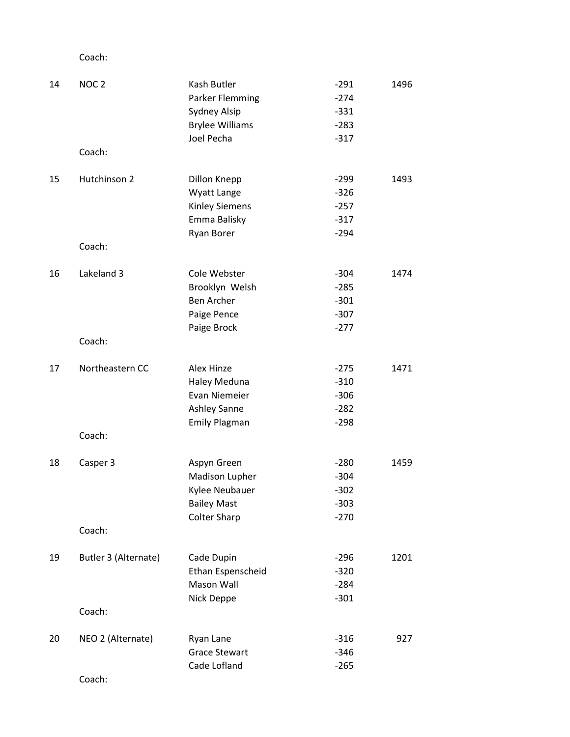| 14 | NOC <sub>2</sub>     | Kash Butler            | $-291$ | 1496 |
|----|----------------------|------------------------|--------|------|
|    |                      | Parker Flemming        | $-274$ |      |
|    |                      | Sydney Alsip           | $-331$ |      |
|    |                      | <b>Brylee Williams</b> | $-283$ |      |
|    |                      | Joel Pecha             | $-317$ |      |
|    | Coach:               |                        |        |      |
| 15 | Hutchinson 2         | Dillon Knepp           | $-299$ | 1493 |
|    |                      | Wyatt Lange            | $-326$ |      |
|    |                      | <b>Kinley Siemens</b>  | $-257$ |      |
|    |                      | Emma Balisky           | $-317$ |      |
|    |                      | <b>Ryan Borer</b>      | $-294$ |      |
|    | Coach:               |                        |        |      |
| 16 | Lakeland 3           | Cole Webster           | $-304$ | 1474 |
|    |                      | Brooklyn Welsh         | $-285$ |      |
|    |                      | <b>Ben Archer</b>      | $-301$ |      |
|    |                      | Paige Pence            | $-307$ |      |
|    |                      | Paige Brock            | $-277$ |      |
|    | Coach:               |                        |        |      |
| 17 | Northeastern CC      | Alex Hinze             | $-275$ | 1471 |
|    |                      | Haley Meduna           | $-310$ |      |
|    |                      | <b>Evan Niemeier</b>   | $-306$ |      |
|    |                      | Ashley Sanne           | $-282$ |      |
|    |                      | <b>Emily Plagman</b>   | $-298$ |      |
|    | Coach:               |                        |        |      |
| 18 | Casper 3             | Aspyn Green            | $-280$ | 1459 |
|    |                      | Madison Lupher         | $-304$ |      |
|    |                      | Kylee Neubauer         | $-302$ |      |
|    |                      | <b>Bailey Mast</b>     | $-303$ |      |
|    |                      | <b>Colter Sharp</b>    | $-270$ |      |
|    | Coach:               |                        |        |      |
| 19 | Butler 3 (Alternate) | Cade Dupin             | $-296$ | 1201 |
|    |                      | Ethan Espenscheid      | $-320$ |      |
|    |                      | Mason Wall             | $-284$ |      |
|    |                      | Nick Deppe             | $-301$ |      |
|    | Coach:               |                        |        |      |
| 20 | NEO 2 (Alternate)    | Ryan Lane              | $-316$ | 927  |
|    |                      | <b>Grace Stewart</b>   | $-346$ |      |
|    |                      | Cade Lofland           | $-265$ |      |
|    | Coach:               |                        |        |      |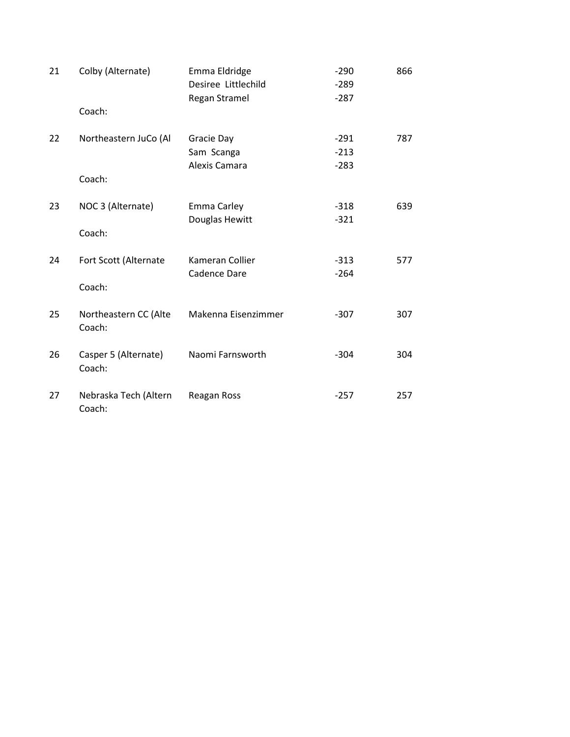| 21 | Colby (Alternate)               | Emma Eldridge<br>Desiree Littlechild<br>Regan Stramel | $-290$<br>$-289$<br>$-287$ | 866 |
|----|---------------------------------|-------------------------------------------------------|----------------------------|-----|
|    | Coach:                          |                                                       |                            |     |
| 22 | Northeastern JuCo (Al<br>Coach: | Gracie Day<br>Sam Scanga<br>Alexis Camara             | $-291$<br>$-213$<br>$-283$ | 787 |
| 23 | NOC 3 (Alternate)<br>Coach:     | Emma Carley<br>Douglas Hewitt                         | $-318$<br>$-321$           | 639 |
| 24 | Fort Scott (Alternate<br>Coach: | Kameran Collier<br>Cadence Dare                       | $-313$<br>$-264$           | 577 |
| 25 | Northeastern CC (Alte<br>Coach: | Makenna Eisenzimmer                                   | $-307$                     | 307 |
| 26 | Casper 5 (Alternate)<br>Coach:  | Naomi Farnsworth                                      | $-304$                     | 304 |
| 27 | Nebraska Tech (Altern<br>Coach: | Reagan Ross                                           | $-257$                     | 257 |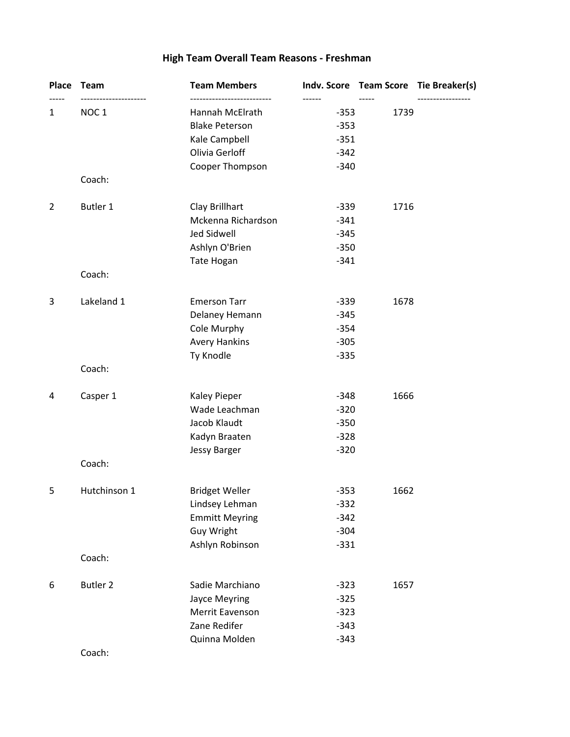# **High Team Overall Team Reasons - Freshman**

| Place          | Team                                  | <b>Team Members</b>                      |                            |      | Indv. Score Team Score Tie Breaker(s) |
|----------------|---------------------------------------|------------------------------------------|----------------------------|------|---------------------------------------|
| $\mathbf{1}$   | -----------------<br>NOC <sub>1</sub> | Hannah McElrath<br><b>Blake Peterson</b> | ------<br>$-353$<br>$-353$ | 1739 |                                       |
|                |                                       | Kale Campbell                            | $-351$                     |      |                                       |
|                |                                       | Olivia Gerloff                           | $-342$                     |      |                                       |
|                | Coach:                                | Cooper Thompson                          | $-340$                     |      |                                       |
|                |                                       |                                          |                            |      |                                       |
| $\overline{2}$ | <b>Butler 1</b>                       | Clay Brillhart<br>Mckenna Richardson     | $-339$<br>$-341$           | 1716 |                                       |
|                |                                       | Jed Sidwell                              | $-345$                     |      |                                       |
|                |                                       | Ashlyn O'Brien                           | $-350$                     |      |                                       |
|                |                                       | Tate Hogan                               | $-341$                     |      |                                       |
|                | Coach:                                |                                          |                            |      |                                       |
| 3              | Lakeland 1                            | <b>Emerson Tarr</b>                      | $-339$                     | 1678 |                                       |
|                |                                       | Delaney Hemann                           | $-345$                     |      |                                       |
|                |                                       | Cole Murphy                              | $-354$                     |      |                                       |
|                |                                       | <b>Avery Hankins</b>                     | $-305$                     |      |                                       |
|                |                                       | Ty Knodle                                | $-335$                     |      |                                       |
|                | Coach:                                |                                          |                            |      |                                       |
| 4              | Casper 1                              | <b>Kaley Pieper</b>                      | $-348$                     | 1666 |                                       |
|                |                                       | Wade Leachman                            | $-320$                     |      |                                       |
|                |                                       | Jacob Klaudt                             | $-350$                     |      |                                       |
|                |                                       | Kadyn Braaten                            | $-328$                     |      |                                       |
|                |                                       | <b>Jessy Barger</b>                      | $-320$                     |      |                                       |
|                | Coach:                                |                                          |                            |      |                                       |
| 5              | Hutchinson 1                          | <b>Bridget Weller</b>                    | $-353$                     | 1662 |                                       |
|                |                                       | Lindsey Lehman                           | $-332$                     |      |                                       |
|                |                                       | <b>Emmitt Meyring</b>                    | $-342$                     |      |                                       |
|                |                                       | Guy Wright                               | $-304$                     |      |                                       |
|                | Coach:                                | Ashlyn Robinson                          | $-331$                     |      |                                       |
|                |                                       |                                          |                            |      |                                       |
| 6              | <b>Butler 2</b>                       | Sadie Marchiano                          | $-323$                     | 1657 |                                       |
|                |                                       | <b>Jayce Meyring</b>                     | $-325$                     |      |                                       |
|                |                                       | Merrit Eavenson                          | $-323$                     |      |                                       |
|                |                                       | Zane Redifer                             | $-343$                     |      |                                       |
|                |                                       | Quinna Molden                            | $-343$                     |      |                                       |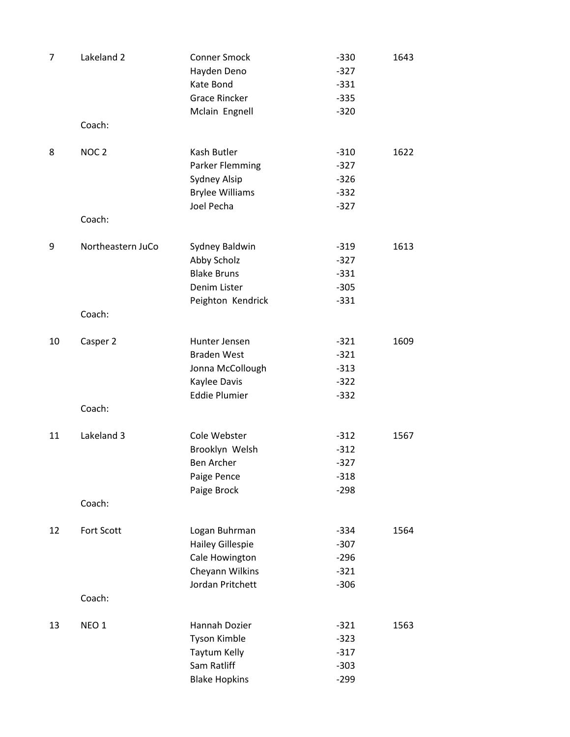| 7  | Lakeland 2                  | <b>Conner Smock</b><br>Hayden Deno<br>Kate Bond<br><b>Grace Rincker</b>                           | $-330$<br>$-327$<br>$-331$<br>$-335$           | 1643 |
|----|-----------------------------|---------------------------------------------------------------------------------------------------|------------------------------------------------|------|
|    | Coach:                      | Mclain Engnell                                                                                    | $-320$                                         |      |
| 8  | NOC <sub>2</sub><br>Coach:  | Kash Butler<br>Parker Flemming<br>Sydney Alsip<br><b>Brylee Williams</b><br>Joel Pecha            | $-310$<br>$-327$<br>$-326$<br>$-332$<br>$-327$ | 1622 |
| 9  | Northeastern JuCo<br>Coach: | Sydney Baldwin<br>Abby Scholz<br><b>Blake Bruns</b><br>Denim Lister<br>Peighton Kendrick          | $-319$<br>$-327$<br>$-331$<br>$-305$<br>$-331$ | 1613 |
| 10 | Casper 2                    | Hunter Jensen<br><b>Braden West</b><br>Jonna McCollough<br>Kaylee Davis<br><b>Eddie Plumier</b>   | $-321$<br>$-321$<br>$-313$<br>$-322$<br>$-332$ | 1609 |
|    | Coach:                      |                                                                                                   |                                                |      |
| 11 | Lakeland 3                  | Cole Webster<br>Brooklyn Welsh<br><b>Ben Archer</b><br>Paige Pence<br>Paige Brock                 | $-312$<br>$-312$<br>$-327$<br>$-318$<br>$-298$ | 1567 |
|    | Coach:                      |                                                                                                   |                                                |      |
| 12 | Fort Scott                  | Logan Buhrman<br><b>Hailey Gillespie</b><br>Cale Howington<br>Cheyann Wilkins<br>Jordan Pritchett | $-334$<br>$-307$<br>$-296$<br>$-321$<br>$-306$ | 1564 |
|    | Coach:                      |                                                                                                   |                                                |      |
| 13 | NEO <sub>1</sub>            | Hannah Dozier<br><b>Tyson Kimble</b><br>Taytum Kelly<br>Sam Ratliff<br><b>Blake Hopkins</b>       | $-321$<br>$-323$<br>$-317$<br>$-303$<br>$-299$ | 1563 |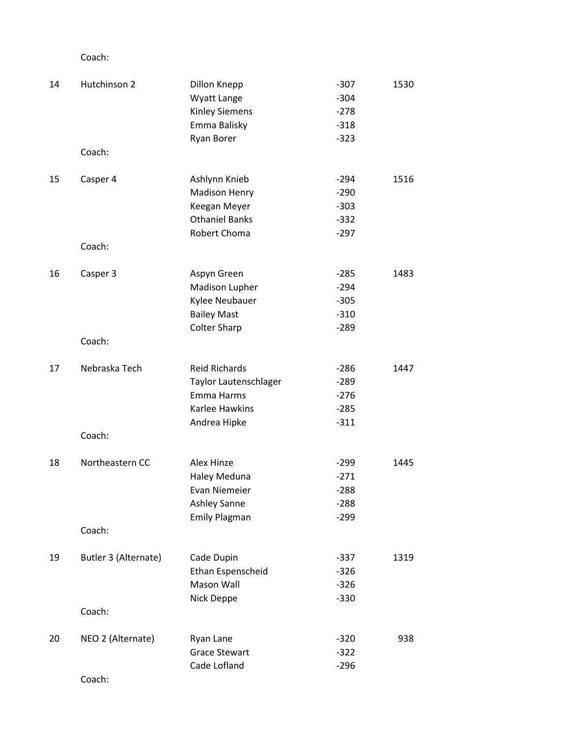| 14 | Hutchinson 2         | Dillon Knepp             | $-307$ | 1530 |
|----|----------------------|--------------------------|--------|------|
|    |                      | Wyatt Lange              | $-304$ |      |
|    |                      | <b>Kinley Siemens</b>    | $-278$ |      |
|    |                      | Emma Balisky             | $-318$ |      |
|    |                      | Ryan Borer               | $-323$ |      |
|    | Coach:               |                          |        |      |
| 15 | Casper 4             | Ashlynn Knieb            | $-294$ | 1516 |
|    |                      | <b>Madison Henry</b>     | $-290$ |      |
|    |                      | Keegan Meyer             | $-303$ |      |
|    |                      | <b>Othaniel Banks</b>    | $-332$ |      |
|    |                      | Robert Choma             | $-297$ |      |
|    | Coach:               |                          |        |      |
| 16 | Casper 3             | Aspyn Green              | $-285$ | 1483 |
|    |                      | Madison Lupher           | $-294$ |      |
|    |                      | Kylee Neubauer           | $-305$ |      |
|    |                      | <b>Bailey Mast</b>       | $-310$ |      |
|    |                      | <b>Colter Sharp</b>      | $-289$ |      |
|    | Coach:               |                          |        |      |
| 17 | Nebraska Tech        | <b>Reid Richards</b>     | $-286$ | 1447 |
|    |                      | Taylor Lautenschlager    | $-289$ |      |
|    |                      | Emma Harms               | $-276$ |      |
|    |                      | Karlee Hawkins           | $-285$ |      |
|    |                      | Andrea Hipke             | $-311$ |      |
|    | Coach:               |                          |        |      |
| 18 | Northeastern CC      | Alex Hinze               | $-299$ | 1445 |
|    |                      | Haley Meduna             | $-271$ |      |
|    |                      | <b>Evan Niemeier</b>     | $-288$ |      |
|    |                      | <b>Ashley Sanne</b>      | $-288$ |      |
|    |                      | <b>Emily Plagman</b>     | $-299$ |      |
|    | Coach:               |                          |        |      |
| 19 | Butler 3 (Alternate) | Cade Dupin               | $-337$ | 1319 |
|    |                      | <b>Ethan Espenscheid</b> | $-326$ |      |
|    |                      | Mason Wall               | $-326$ |      |
|    |                      | Nick Deppe               | $-330$ |      |
|    | Coach:               |                          |        |      |
| 20 | NEO 2 (Alternate)    | Ryan Lane                | $-320$ | 938  |
|    |                      | <b>Grace Stewart</b>     | $-322$ |      |
|    |                      | Cade Lofland             | $-296$ |      |
|    | Coach:               |                          |        |      |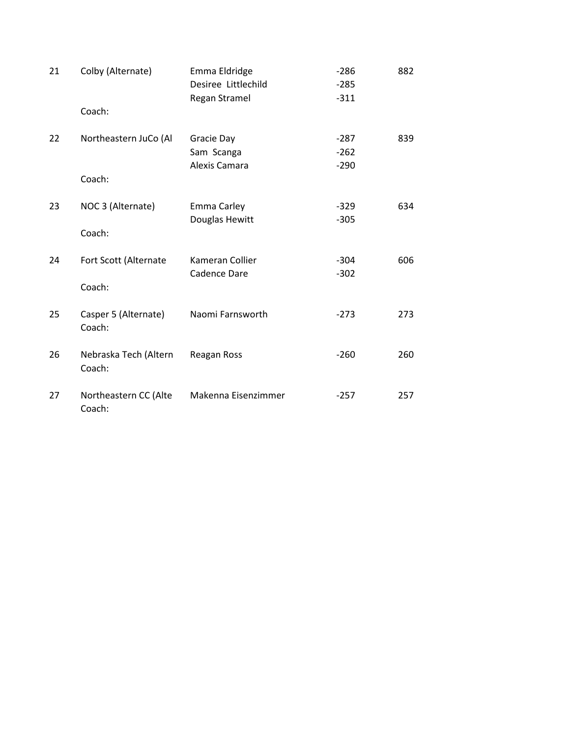| 21 | Colby (Alternate)               | Emma Eldridge<br>Desiree Littlechild      | $-286$<br>$-285$           | 882 |
|----|---------------------------------|-------------------------------------------|----------------------------|-----|
|    | Coach:                          | Regan Stramel                             | $-311$                     |     |
| 22 | Northeastern JuCo (Al<br>Coach: | Gracie Day<br>Sam Scanga<br>Alexis Camara | $-287$<br>$-262$<br>$-290$ | 839 |
| 23 | NOC 3 (Alternate)<br>Coach:     | Emma Carley<br>Douglas Hewitt             | $-329$<br>$-305$           | 634 |
| 24 | Fort Scott (Alternate<br>Coach: | Kameran Collier<br>Cadence Dare           | $-304$<br>$-302$           | 606 |
| 25 | Casper 5 (Alternate)<br>Coach:  | Naomi Farnsworth                          | $-273$                     | 273 |
| 26 | Nebraska Tech (Altern<br>Coach: | Reagan Ross                               | $-260$                     | 260 |
| 27 | Northeastern CC (Alte<br>Coach: | Makenna Eisenzimmer                       | $-257$                     | 257 |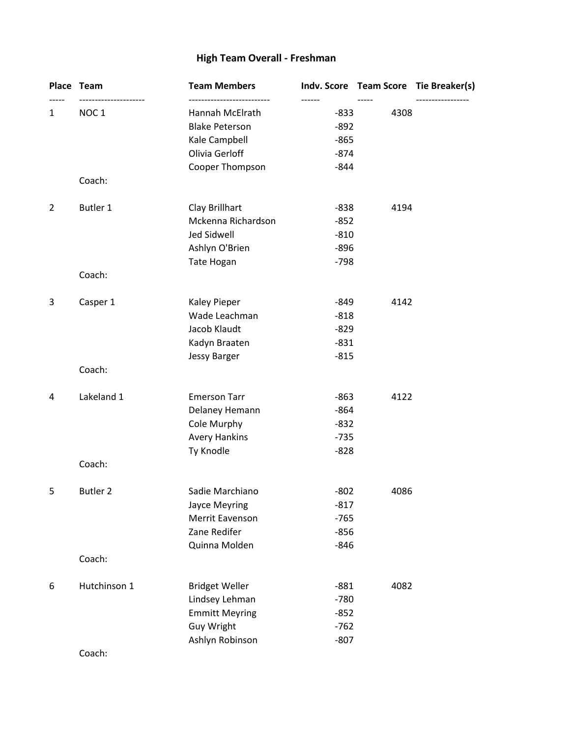# **High Team Overall - Freshman**

|                | Place Team       | <b>Team Members</b>   |        |      | Indv. Score Team Score Tie Breaker(s) |
|----------------|------------------|-----------------------|--------|------|---------------------------------------|
| 1              | NOC <sub>1</sub> | Hannah McElrath       | $-833$ | 4308 |                                       |
|                |                  | <b>Blake Peterson</b> | $-892$ |      |                                       |
|                |                  | Kale Campbell         | $-865$ |      |                                       |
|                |                  | Olivia Gerloff        | $-874$ |      |                                       |
|                |                  | Cooper Thompson       | $-844$ |      |                                       |
|                | Coach:           |                       |        |      |                                       |
| $\overline{2}$ | Butler 1         | Clay Brillhart        | $-838$ | 4194 |                                       |
|                |                  | Mckenna Richardson    | $-852$ |      |                                       |
|                |                  | Jed Sidwell           | $-810$ |      |                                       |
|                |                  | Ashlyn O'Brien        | $-896$ |      |                                       |
|                |                  | Tate Hogan            | $-798$ |      |                                       |
|                | Coach:           |                       |        |      |                                       |
| 3              | Casper 1         | <b>Kaley Pieper</b>   | $-849$ | 4142 |                                       |
|                |                  | Wade Leachman         | $-818$ |      |                                       |
|                |                  | Jacob Klaudt          | $-829$ |      |                                       |
|                |                  | Kadyn Braaten         | $-831$ |      |                                       |
|                |                  | <b>Jessy Barger</b>   | $-815$ |      |                                       |
|                | Coach:           |                       |        |      |                                       |
| 4              | Lakeland 1       | <b>Emerson Tarr</b>   | $-863$ | 4122 |                                       |
|                |                  | Delaney Hemann        | $-864$ |      |                                       |
|                |                  | Cole Murphy           | $-832$ |      |                                       |
|                |                  | <b>Avery Hankins</b>  | $-735$ |      |                                       |
|                |                  | Ty Knodle             | $-828$ |      |                                       |
|                | Coach:           |                       |        |      |                                       |
| 5              | <b>Butler 2</b>  | Sadie Marchiano       | $-802$ | 4086 |                                       |
|                |                  | Jayce Meyring         | $-817$ |      |                                       |
|                |                  | Merrit Eavenson       | $-765$ |      |                                       |
|                |                  | Zane Redifer          | $-856$ |      |                                       |
|                |                  | Quinna Molden         | $-846$ |      |                                       |
|                | Coach:           |                       |        |      |                                       |
| 6              | Hutchinson 1     | <b>Bridget Weller</b> | $-881$ | 4082 |                                       |
|                |                  | Lindsey Lehman        | $-780$ |      |                                       |
|                |                  | <b>Emmitt Meyring</b> | $-852$ |      |                                       |
|                |                  | Guy Wright            | $-762$ |      |                                       |
|                |                  | Ashlyn Robinson       | $-807$ |      |                                       |
|                |                  |                       |        |      |                                       |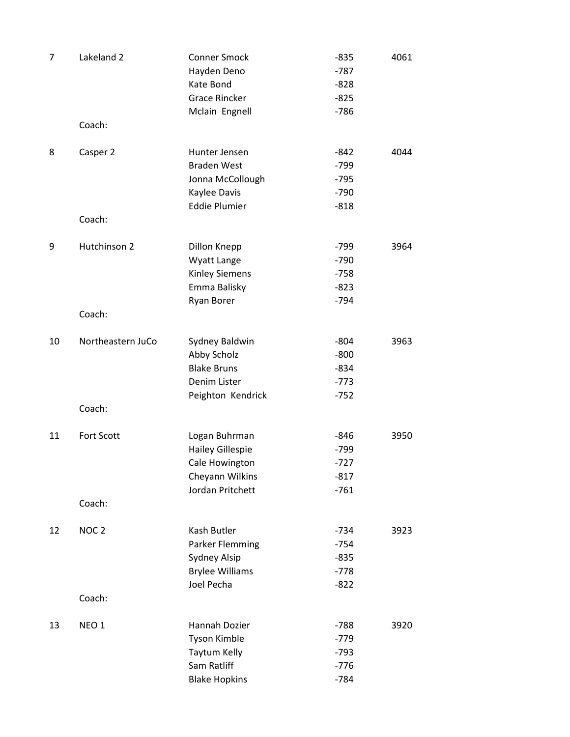| 7  | Lakeland 2         | <b>Conner Smock</b><br>Hayden Deno<br>Kate Bond<br><b>Grace Rincker</b><br>Mclain Engnell       | $-835$<br>$-787$<br>$-828$<br>$-825$<br>$-786$ | 4061 |
|----|--------------------|-------------------------------------------------------------------------------------------------|------------------------------------------------|------|
|    | Coach:             |                                                                                                 |                                                |      |
| 8  | Casper 2<br>Coach: | Hunter Jensen<br><b>Braden West</b><br>Jonna McCollough<br>Kaylee Davis<br><b>Eddie Plumier</b> | $-842$<br>$-799$<br>$-795$<br>$-790$<br>$-818$ | 4044 |
|    |                    |                                                                                                 |                                                |      |
| 9  | Hutchinson 2       | Dillon Knepp<br>Wyatt Lange<br><b>Kinley Siemens</b><br>Emma Balisky<br>Ryan Borer              | $-799$<br>$-790$<br>$-758$<br>$-823$<br>$-794$ | 3964 |
|    | Coach:             |                                                                                                 |                                                |      |
| 10 | Northeastern JuCo  | Sydney Baldwin<br>Abby Scholz<br><b>Blake Bruns</b><br>Denim Lister                             | $-804$<br>$-800$<br>$-834$<br>$-773$           | 3963 |
|    | Coach:             | Peighton Kendrick                                                                               | $-752$                                         |      |
| 11 | Fort Scott         | Logan Buhrman<br><b>Hailey Gillespie</b><br>Cale Howington<br>Cheyann Wilkins                   | $-846$<br>$-799$<br>$-727$<br>$-817$           | 3950 |
|    | Coach:             | Jordan Pritchett                                                                                | $-761$                                         |      |
|    |                    |                                                                                                 |                                                |      |
| 12 | NOC <sub>2</sub>   | Kash Butler<br><b>Parker Flemming</b><br>Sydney Alsip<br><b>Brylee Williams</b><br>Joel Pecha   | $-734$<br>$-754$<br>$-835$<br>$-778$<br>$-822$ | 3923 |
|    | Coach:             |                                                                                                 |                                                |      |
| 13 | NEO <sub>1</sub>   | Hannah Dozier<br>Tyson Kimble<br>Taytum Kelly<br>Sam Ratliff<br><b>Blake Hopkins</b>            | $-788$<br>$-779$<br>$-793$<br>$-776$<br>$-784$ | 3920 |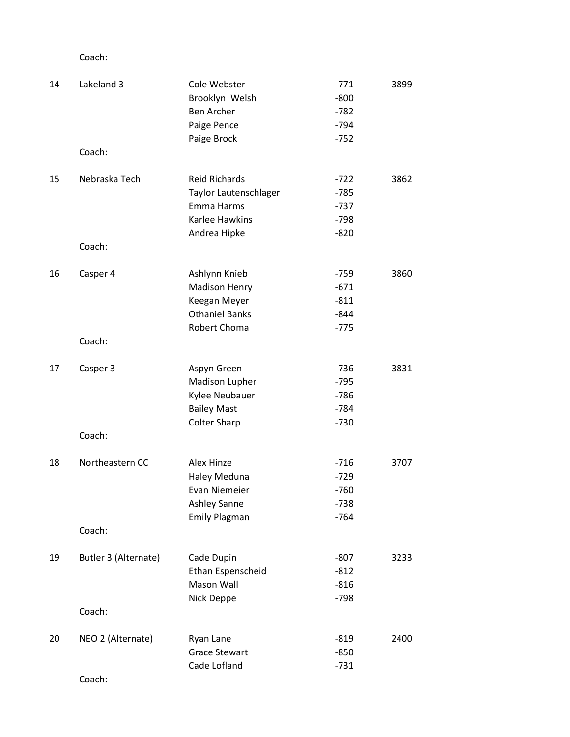| 14 | Lakeland 3           | Cole Webster          | $-771$ | 3899 |
|----|----------------------|-----------------------|--------|------|
|    |                      | Brooklyn Welsh        | $-800$ |      |
|    |                      | Ben Archer            | $-782$ |      |
|    |                      | Paige Pence           | $-794$ |      |
|    |                      | Paige Brock           | $-752$ |      |
|    | Coach:               |                       |        |      |
| 15 | Nebraska Tech        | <b>Reid Richards</b>  | $-722$ | 3862 |
|    |                      | Taylor Lautenschlager | $-785$ |      |
|    |                      | Emma Harms            | $-737$ |      |
|    |                      | Karlee Hawkins        | $-798$ |      |
|    |                      | Andrea Hipke          | $-820$ |      |
|    | Coach:               |                       |        |      |
| 16 | Casper 4             | Ashlynn Knieb         | $-759$ | 3860 |
|    |                      | <b>Madison Henry</b>  | $-671$ |      |
|    |                      | Keegan Meyer          | $-811$ |      |
|    |                      | <b>Othaniel Banks</b> | $-844$ |      |
|    |                      | Robert Choma          | $-775$ |      |
|    | Coach:               |                       |        |      |
| 17 | Casper 3             | Aspyn Green           | $-736$ | 3831 |
|    |                      | Madison Lupher        | $-795$ |      |
|    |                      | Kylee Neubauer        | $-786$ |      |
|    |                      | <b>Bailey Mast</b>    | $-784$ |      |
|    |                      | <b>Colter Sharp</b>   | $-730$ |      |
|    | Coach:               |                       |        |      |
| 18 | Northeastern CC      | Alex Hinze            | $-716$ | 3707 |
|    |                      | <b>Haley Meduna</b>   | $-729$ |      |
|    |                      | Evan Niemeier         | $-760$ |      |
|    |                      | <b>Ashley Sanne</b>   | $-738$ |      |
|    |                      | <b>Emily Plagman</b>  | $-764$ |      |
|    | Coach:               |                       |        |      |
| 19 | Butler 3 (Alternate) | Cade Dupin            | $-807$ | 3233 |
|    |                      | Ethan Espenscheid     | $-812$ |      |
|    |                      | <b>Mason Wall</b>     | $-816$ |      |
|    |                      | Nick Deppe            | $-798$ |      |
|    | Coach:               |                       |        |      |
| 20 | NEO 2 (Alternate)    | Ryan Lane             | $-819$ | 2400 |
|    |                      | <b>Grace Stewart</b>  | $-850$ |      |
|    |                      | Cade Lofland          | $-731$ |      |
|    | $C$ aaabi            |                       |        |      |